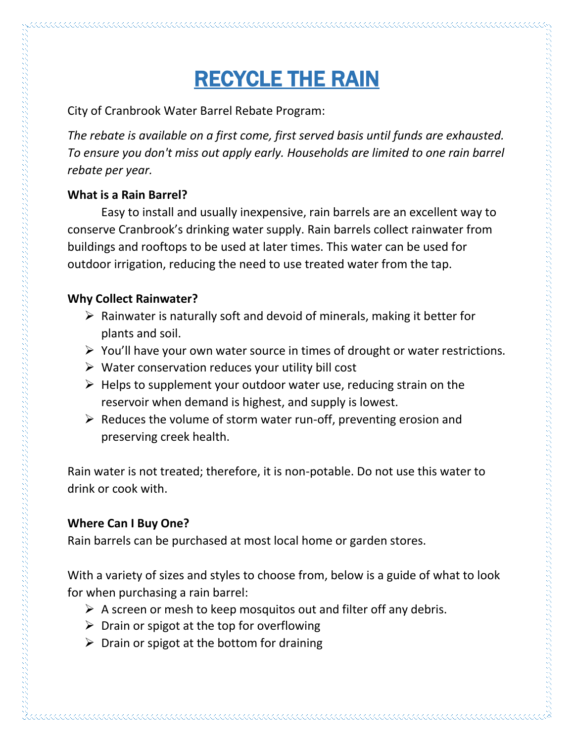# RECYCLE THE RAIN

City of Cranbrook Water Barrel Rebate Program:

*The rebate is available on a first come, first served basis until funds are exhausted. To ensure you don't miss out apply early. Households are limited to one rain barrel rebate per year.* 

#### **What is a Rain Barrel?**

Easy to install and usually inexpensive, rain barrels are an excellent way to conserve Cranbrook's drinking water supply. Rain barrels collect rainwater from buildings and rooftops to be used at later times. This water can be used for outdoor irrigation, reducing the need to use treated water from the tap.

### **Why Collect Rainwater?**

- $\triangleright$  Rainwater is naturally soft and devoid of minerals, making it better for plants and soil.
- $\triangleright$  You'll have your own water source in times of drought or water restrictions.
- $\triangleright$  Water conservation reduces your utility bill cost
- $\triangleright$  Helps to supplement your outdoor water use, reducing strain on the reservoir when demand is highest, and supply is lowest.
- $\triangleright$  Reduces the volume of storm water run-off, preventing erosion and preserving creek health.

Rain water is not treated; therefore, it is non-potable. Do not use this water to drink or cook with.

## **Where Can I Buy One?**

Rain barrels can be purchased at most local home or garden stores.

With a variety of sizes and styles to choose from, below is a guide of what to look for when purchasing a rain barrel:

- $\triangleright$  A screen or mesh to keep mosquitos out and filter off any debris.
- $\triangleright$  Drain or spigot at the top for overflowing
- $\triangleright$  Drain or spigot at the bottom for draining